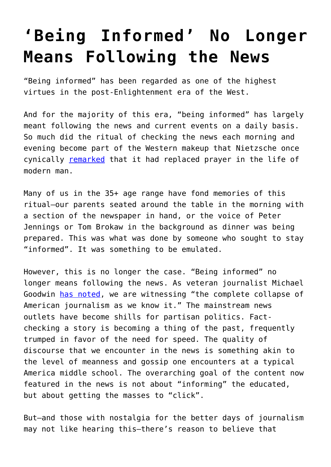## **['Being Informed' No Longer](https://intellectualtakeout.org/2018/05/being-informed-no-longer-means-following-the-news/) [Means Following the News](https://intellectualtakeout.org/2018/05/being-informed-no-longer-means-following-the-news/)**

"Being informed" has been regarded as one of the highest virtues in the post-Enlightenment era of the West.

And for the majority of this era, "being informed" has largely meant following the news and current events on a daily basis. So much did the ritual of checking the news each morning and evening become part of the Western makeup that Nietzsche once cynically [remarked](http://nietzsche.holtof.com/Nietzsche_the_will_to_power/the_will_to_power_book_I.htm) that it had replaced prayer in the life of modern man.

Many of us in the 35+ age range have fond memories of this ritual—our parents seated around the table in the morning with a section of the newspaper in hand, or the voice of Peter Jennings or Tom Brokaw in the background as dinner was being prepared. This was what was done by someone who sought to stay "informed". It was something to be emulated.

However, this is no longer the case. "Being informed" no longer means following the news. As veteran journalist Michael Goodwin [has noted,](https://www.intellectualtakeout.org/blog/american-journalism-collapsing-our-eyes) we are witnessing "the complete collapse of American journalism as we know it." The mainstream news outlets have become shills for partisan politics. Factchecking a story is becoming a thing of the past, frequently trumped in favor of the need for speed. The quality of discourse that we encounter in the news is something akin to the level of meanness and gossip one encounters at a typical America middle school. The overarching goal of the content now featured in the news is not about "informing" the educated, but about getting the masses to "click".

But—and those with nostalgia for the better days of journalism may not like hearing this—there's reason to believe that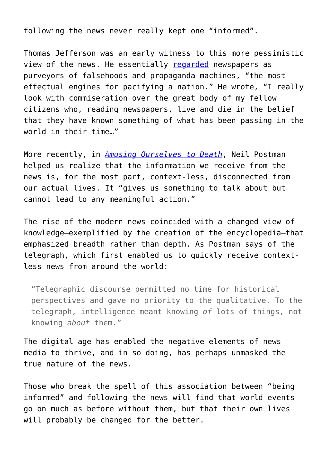following the news never really kept one "informed".

Thomas Jefferson was an early witness to this more pessimistic view of the news. He essentially [regarded](https://www.intellectualtakeout.org/blog/thomas-jefferson-had-some-issues-newspapers) newspapers as purveyors of falsehoods and propaganda machines, "the most effectual engines for pacifying a nation." He wrote, "I really look with commiseration over the great body of my fellow citizens who, reading newspapers, live and die in the belief that they have known something of what has been passing in the world in their time…"

More recently, in *[Amusing Ourselves to Death](https://amzn.to/2FyuYbj)*, Neil Postman helped us realize that the information we receive from the news is, for the most part, context-less, disconnected from our actual lives. It "gives us something to talk about but cannot lead to any meaningful action."

The rise of the modern news coincided with a changed view of knowledge—exemplified by the creation of the encyclopedia—that emphasized breadth rather than depth. As Postman says of the telegraph, which first enabled us to quickly receive contextless news from around the world:

"Telegraphic discourse permitted no time for historical perspectives and gave no priority to the qualitative. To the telegraph, intelligence meant knowing *of* lots of things, not knowing *about* them."

The digital age has enabled the negative elements of news media to thrive, and in so doing, has perhaps unmasked the true nature of the news.

Those who break the spell of this association between "being informed" and following the news will find that world events go on much as before without them, but that their own lives will probably be changed for the better.